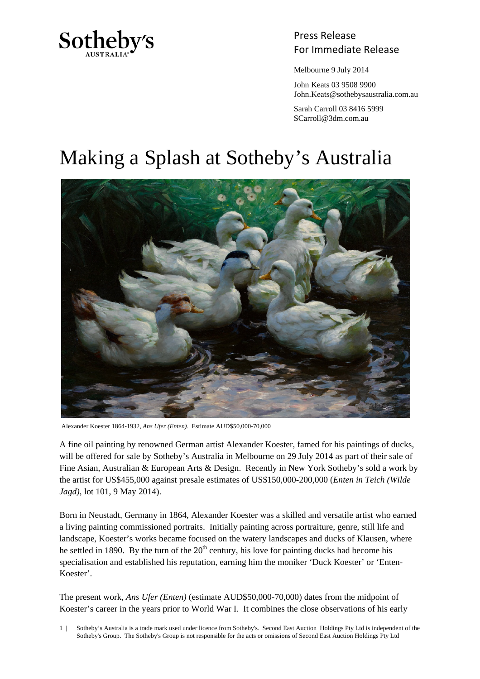

## Press Release Sotheby's<br>For Immediate Release

Melbourne 9 July 2014

 John Keats 03 9508 9900 John.Keats@sothebysaustralia.com.au

 Sarah Carroll 03 8416 5999 SCarroll@3dm.com.au

## Making a Splash at Sotheby's Australia



Alexander Koester 1864-1932, *Ans Ufer (Enten).* Estimate AUD\$50,000-70,000

A fine oil painting by renowned German artist Alexander Koester, famed for his paintings of ducks, will be offered for sale by Sotheby's Australia in Melbourne on 29 July 2014 as part of their sale of Fine Asian, Australian & European Arts & Design. Recently in New York Sotheby's sold a work by the artist for US\$455,000 against presale estimates of US\$150,000-200,000 (*Enten in Teich (Wilde Jagd)*, lot 101, 9 May 2014).

Born in Neustadt, Germany in 1864, Alexander Koester was a skilled and versatile artist who earned a living painting commissioned portraits. Initially painting across portraiture, genre, still life and landscape, Koester's works became focused on the watery landscapes and ducks of Klausen, where he settled in 1890. By the turn of the  $20<sup>th</sup>$  century, his love for painting ducks had become his specialisation and established his reputation, earning him the moniker 'Duck Koester' or 'Enten-Koester'.

The present work, *Ans Ufer (Enten)* (estimate AUD\$50,000-70,000) dates from the midpoint of Koester's career in the years prior to World War I. It combines the close observations of his early

1 | Sotheby's Australia is a trade mark used under licence from Sotheby's. Second East Auction Holdings Pty Ltd is independent of the Sotheby's Group. The Sotheby's Group is not responsible for the acts or omissions of Second East Auction Holdings Pty Ltd